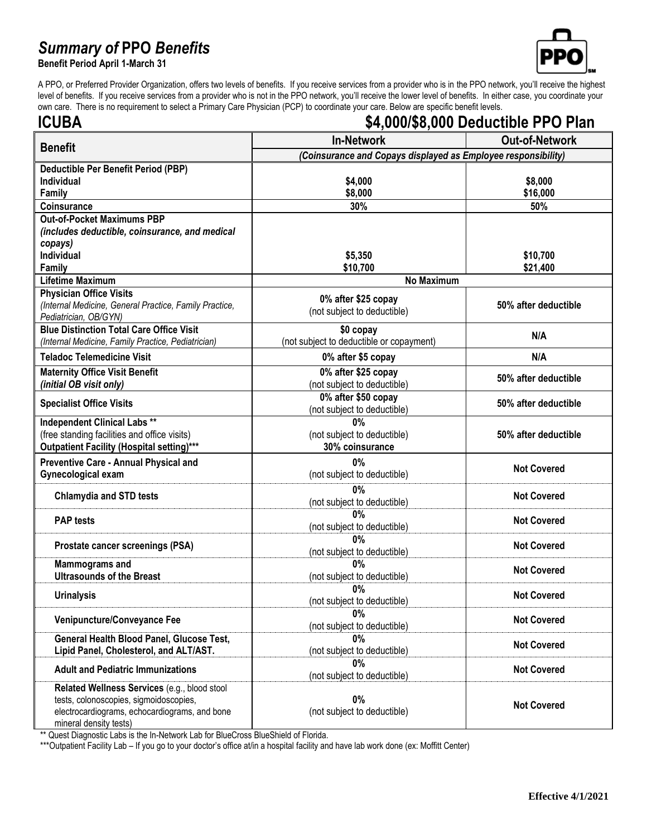## *Summary of* **PPO** *Benefits*

**Benefit Period April 1-March 31**



A PPO, or Preferred Provider Organization, offers two levels of benefits. If you receive services from a provider who is in the PPO network, you'll receive the highest level of benefits. If you receive services from a provider who is not in the PPO network, you'll receive the lower level of benefits. In either case, you coordinate your own care. There is no requirement to select a Primary Care Physician (PCP) to coordinate your care. Below are specific benefit levels.

| <b>ICUBA</b>                                                                                                                                                      |                                                               | \$4,000/\$8,000 Deductible PPO Plan |  |
|-------------------------------------------------------------------------------------------------------------------------------------------------------------------|---------------------------------------------------------------|-------------------------------------|--|
| <b>Benefit</b>                                                                                                                                                    | <b>In-Network</b>                                             | <b>Out-of-Network</b>               |  |
|                                                                                                                                                                   | (Coinsurance and Copays displayed as Employee responsibility) |                                     |  |
| Deductible Per Benefit Period (PBP)                                                                                                                               |                                                               |                                     |  |
| Individual                                                                                                                                                        | \$4,000                                                       | \$8,000                             |  |
| Family                                                                                                                                                            | \$8,000                                                       | \$16,000                            |  |
| Coinsurance                                                                                                                                                       | 30%                                                           | 50%                                 |  |
| <b>Out-of-Pocket Maximums PBP</b><br>(includes deductible, coinsurance, and medical                                                                               |                                                               |                                     |  |
| copays)                                                                                                                                                           |                                                               |                                     |  |
| Individual                                                                                                                                                        | \$5,350                                                       | \$10,700                            |  |
| Family                                                                                                                                                            | \$10,700                                                      | \$21,400                            |  |
| <b>Lifetime Maximum</b>                                                                                                                                           | <b>No Maximum</b>                                             |                                     |  |
| <b>Physician Office Visits</b>                                                                                                                                    | 0% after \$25 copay                                           |                                     |  |
| (Internal Medicine, General Practice, Family Practice,                                                                                                            | (not subject to deductible)                                   | 50% after deductible                |  |
| Pediatrician, OB/GYN)<br><b>Blue Distinction Total Care Office Visit</b>                                                                                          | \$0 copay                                                     |                                     |  |
| (Internal Medicine, Family Practice, Pediatrician)                                                                                                                | (not subject to deductible or copayment)                      | N/A                                 |  |
| <b>Teladoc Telemedicine Visit</b>                                                                                                                                 | 0% after \$5 copay                                            | N/A                                 |  |
| <b>Maternity Office Visit Benefit</b>                                                                                                                             | 0% after \$25 copay                                           |                                     |  |
| (initial OB visit only)                                                                                                                                           | (not subject to deductible)                                   | 50% after deductible                |  |
|                                                                                                                                                                   | 0% after \$50 copay                                           |                                     |  |
| <b>Specialist Office Visits</b>                                                                                                                                   | (not subject to deductible)                                   | 50% after deductible                |  |
| <b>Independent Clinical Labs **</b>                                                                                                                               | 0%                                                            |                                     |  |
| (free standing facilities and office visits)                                                                                                                      | (not subject to deductible)                                   | 50% after deductible                |  |
| Outpatient Facility (Hospital setting)***                                                                                                                         | 30% coinsurance                                               |                                     |  |
| Preventive Care - Annual Physical and                                                                                                                             | 0%                                                            | <b>Not Covered</b>                  |  |
| Gynecological exam                                                                                                                                                | (not subject to deductible)                                   |                                     |  |
| <b>Chlamydia and STD tests</b>                                                                                                                                    | 0%                                                            | <b>Not Covered</b>                  |  |
|                                                                                                                                                                   | (not subject to deductible)<br>0%                             |                                     |  |
| <b>PAP tests</b>                                                                                                                                                  | (not subject to deductible)                                   | <b>Not Covered</b>                  |  |
|                                                                                                                                                                   | 0%                                                            |                                     |  |
| Prostate cancer screenings (PSA)                                                                                                                                  | (not subject to deductible)                                   | <b>Not Covered</b>                  |  |
| <b>Mammograms and</b>                                                                                                                                             | 0%                                                            | <b>Not Covered</b>                  |  |
| <b>Ultrasounds of the Breast</b>                                                                                                                                  | (not subject to deductible)                                   |                                     |  |
| <b>Urinalysis</b>                                                                                                                                                 | <b>U%</b><br>(not subject to deductible)                      | <b>Not Covered</b>                  |  |
|                                                                                                                                                                   | 0%                                                            |                                     |  |
| Venipuncture/Conveyance Fee                                                                                                                                       | (not subject to deductible)                                   | <b>Not Covered</b>                  |  |
| General Health Blood Panel, Glucose Test,                                                                                                                         | $0\%$                                                         | <b>Not Covered</b>                  |  |
| Lipid Panel, Cholesterol, and ALT/AST.                                                                                                                            | (not subject to deductible)                                   |                                     |  |
| <b>Adult and Pediatric Immunizations</b>                                                                                                                          | $0\%$<br>(not subject to deductible)                          | <b>Not Covered</b>                  |  |
| Related Wellness Services (e.g., blood stool<br>tests, colonoscopies, sigmoidoscopies,<br>electrocardiograms, echocardiograms, and bone<br>mineral density tests) | 0%<br>(not subject to deductible)                             | <b>Not Covered</b>                  |  |

\*\* Quest Diagnostic Labs is the In-Network Lab for BlueCross BlueShield of Florida.

\*\*\*Outpatient Facility Lab – If you go to your doctor's office at/in a hospital facility and have lab work done (ex: Moffitt Center)